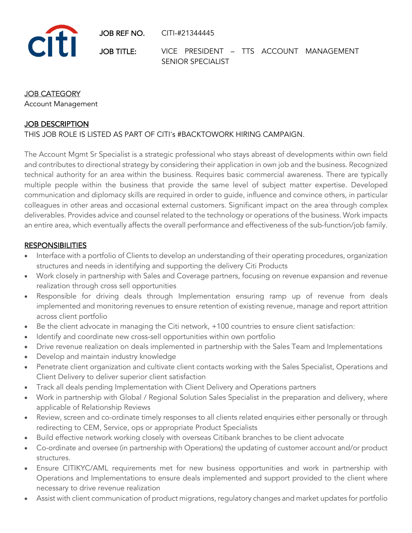JOB REF NO. CITI-#21344445



JOB TITLE: VICE PRESIDENT - TTS ACCOUNT MANAGEMENT SENIOR SPECIALIST

### JOB CATEGORY

Account Management

### **JOB DESCRIPTION**

THIS JOB ROLE IS LISTED AS PART OF CITI's #BACKTOWORK HIRING CAMPAIGN.

The Account Mgmt Sr Specialist is a strategic professional who stays abreast of developments within own field and contributes to directional strategy by considering their application in own job and the business. Recognized technical authority for an area within the business. Requires basic commercial awareness. There are typically multiple people within the business that provide the same level of subject matter expertise. Developed communication and diplomacy skills are required in order to guide, influence and convince others, in particular colleagues in other areas and occasional external customers. Significant impact on the area through complex deliverables. Provides advice and counsel related to the technology or operations of the business. Work impacts an entire area, which eventually affects the overall performance and effectiveness of the sub-function/job family.

#### **RESPONSIBILITIES**

- Interface with a portfolio of Clients to develop an understanding of their operating procedures, organization structures and needs in identifying and supporting the delivery Citi Products
- Work closely in partnership with Sales and Coverage partners, focusing on revenue expansion and revenue realization through cross sell opportunities
- Responsible for driving deals through Implementation ensuring ramp up of revenue from deals implemented and monitoring revenues to ensure retention of existing revenue, manage and report attrition across client portfolio
- Be the client advocate in managing the Citi network, +100 countries to ensure client satisfaction:
- Identify and coordinate new cross-sell opportunities within own portfolio
- Drive revenue realization on deals implemented in partnership with the Sales Team and Implementations
- Develop and maintain industry knowledge
- Penetrate client organization and cultivate client contacts working with the Sales Specialist, Operations and Client Delivery to deliver superior client satisfaction
- Track all deals pending Implementation with Client Delivery and Operations partners
- Work in partnership with Global / Regional Solution Sales Specialist in the preparation and delivery, where applicable of Relationship Reviews
- Review, screen and co-ordinate timely responses to all clients related enquiries either personally or through redirecting to CEM, Service, ops or appropriate Product Specialists
- Build effective network working closely with overseas Citibank branches to be client advocate
- Co-ordinate and oversee (in partnership with Operations) the updating of customer account and/or product structures.
- Ensure CITIKYC/AML requirements met for new business opportunities and work in partnership with Operations and Implementations to ensure deals implemented and support provided to the client where necessary to drive revenue realization
- Assist with client communication of product migrations, regulatory changes and market updates for portfolio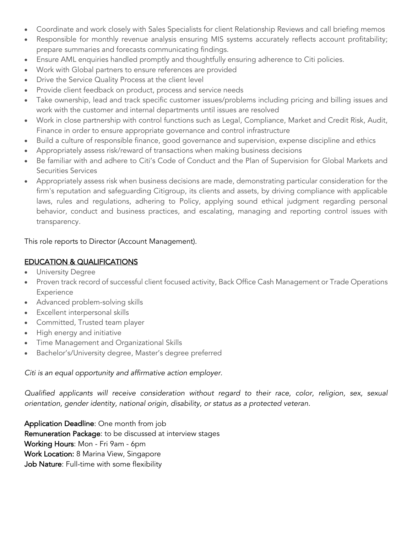- Coordinate and work closely with Sales Specialists for client Relationship Reviews and call briefing memos
- Responsible for monthly revenue analysis ensuring MIS systems accurately reflects account profitability; prepare summaries and forecasts communicating findings.
- Ensure AML enquiries handled promptly and thoughtfully ensuring adherence to Citi policies.
- Work with Global partners to ensure references are provided
- Drive the Service Quality Process at the client level
- Provide client feedback on product, process and service needs
- Take ownership, lead and track specific customer issues/problems including pricing and billing issues and work with the customer and internal departments until issues are resolved
- Work in close partnership with control functions such as Legal, Compliance, Market and Credit Risk, Audit, Finance in order to ensure appropriate governance and control infrastructure
- Build a culture of responsible finance, good governance and supervision, expense discipline and ethics
- Appropriately assess risk/reward of transactions when making business decisions
- Be familiar with and adhere to Citi's Code of Conduct and the Plan of Supervision for Global Markets and Securities Services
- Appropriately assess risk when business decisions are made, demonstrating particular consideration for the firm's reputation and safeguarding Citigroup, its clients and assets, by driving compliance with applicable laws, rules and regulations, adhering to Policy, applying sound ethical judgment regarding personal behavior, conduct and business practices, and escalating, managing and reporting control issues with transparency.

This role reports to Director (Account Management).

### EDUCATION & QUALIFICATIONS

- University Degree
- Proven track record of successful client focused activity, Back Office Cash Management or Trade Operations Experience
- Advanced problem-solving skills
- Excellent interpersonal skills
- Committed, Trusted team player
- High energy and initiative
- Time Management and Organizational Skills
- Bachelor's/University degree, Master's degree preferred

*Citi is an equal opportunity and affirmative action employer.*

*Qualified applicants will receive consideration without regard to their race, color, religion, sex, sexual orientation, gender identity, national origin, disability, or status as a protected veteran.*

Application Deadline: One month from job Remuneration Package: to be discussed at interview stages Working Hours: Mon - Fri 9am - 6pm Work Location: 8 Marina View, Singapore Job Nature: Full-time with some flexibility